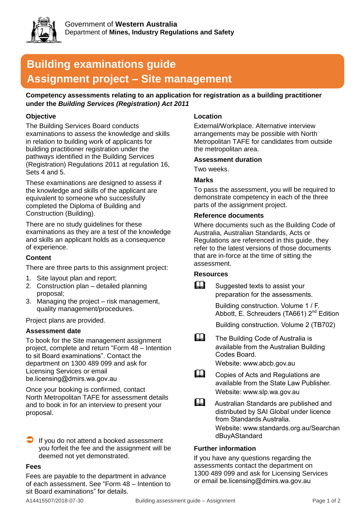

# **Building examinations guide Assignment project – Site management**

**Competency assessments relating to an application for registration as a building practitioner under the** *Building Services (Registration) Act 2011*

# **Objective**

The Building Services Board conducts examinations to assess the knowledge and skills in relation to building work of applicants for building practitioner registration under the pathways identified in the Building Services (Registration) Regulations 2011 at regulation 16, Sets 4 and 5.

These examinations are designed to assess if the knowledge and skills of the applicant are equivalent to someone who successfully completed the Diploma of Building and Construction (Building).

There are no study guidelines for these examinations as they are a test of the knowledge and skills an applicant holds as a consequence of experience.

# **Content**

There are three parts to this assignment project:

- 1. Site layout plan and report;
- 2. Construction plan detailed planning proposal;
- 3. Managing the project risk management, quality management/procedures.

Project plans are provided.

# **Assessment date**

To book for the Site management assignment project, complete and return "Form 48 – Intention to sit Board examinations". Contact the department on 1300 489 099 and ask for Licensing Services or email be.licensing@dmirs.wa.gov.au

Once your booking is confirmed, contact North Metropolitan TAFE for assessment details and to book in for an interview to present your proposal.

 If you do not attend a booked assessment you forfeit the fee and the assignment will be deemed not yet demonstrated.

#### **Fees**

Fees are payable to the department in advance of each assessment. See "Form 48 – Intention to sit Board examinations" for details.

# **Location**

External/Workplace. Alternative interview arrangements may be possible with North Metropolitan TAFE for candidates from outside the metropolitan area.

#### **Assessment duration**

Two weeks.

# **Marks**

To pass the assessment, you will be required to demonstrate competency in each of the three parts of the assignment project.

#### **Reference documents**

Where documents such as the Building Code of Australia, Australian Standards, Acts or Regulations are referenced in this guide, they refer to the latest versions of those documents that are in-force at the time of sitting the assessment.

# **Resources**

 $\Box$  Suggested texts to assist your preparation for the assessments.

> Building construction. Volume 1 / F. Abbott, E. Schreuders (TA661) 2<sup>nd</sup> Edition

Building construction. Volume 2 (TB702)

**The Building Code of Australia is** available from the Australian Building Codes Board.

Website: www.abcb.gov.au

- Copies of Acts and Regulations are available from the State Law Publisher. Website: www.slp.wa.gov.au
- **Australian Standards are published and** distributed by SAI Global under licence from Standards Australia. Website: www.standards.org.au/Searchan dBuyAStandard

# **Further information**

If you have any questions regarding the assessments contact the department on 1300 489 099 and ask for Licensing Services or email be.licensing@dmirs.wa.gov.au